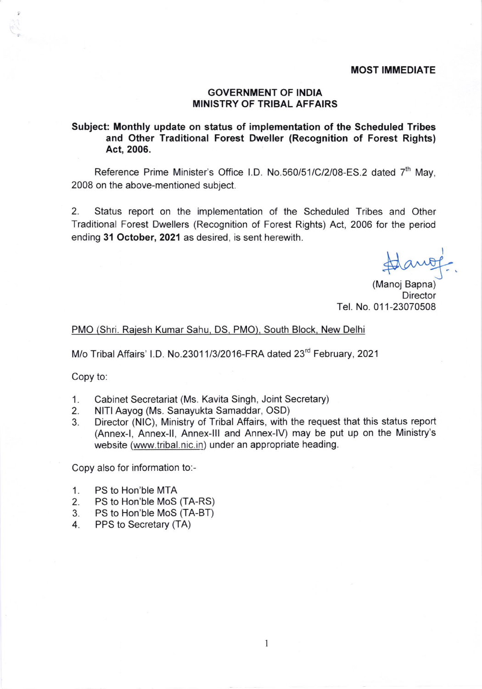## GOVERNMENT OF INDIA MINISTRY OF TRIBAL AFFAIRS

## Subject: Monthly update on status of implementation of the Scheduled Tribes and Other Traditional Forest Dweller (Recognition of Forest Rights) Act, 2006.

Reference Prime Minister's Office I.D. No.560/51/C/2/08-ES.2 dated 7<sup>th</sup> May, 2008 on the above-mentioned subject.

2. Status report on the implementation of the Scheduled Tribes and Other Traditional Forest Dwellers (Recognition of Forest Rights) Act, 2006 for the period ending 31 October, 2021 as desired, is sent herewith.

(Manoj Bapna) **Director** Tel. No.011-23070508

## PMO (Shri. Raiesh Kumar Sahu, DS. PMO). South Block. New Delhi

M/o Tribal Affairs' I.D. No.23011/3/2016-FRA dated 23<sup>rd</sup> February, 2021

Copy to:

- 1. Cabinet Secretariat (Ms. Kavita Singh, Joint Secretary)<br>2. NITI Aavog (Ms. Sanayukta Samaddar, OSD)
- 2. NITI Aayog (Ms. Sanayukta Samaddar, OSD)<br>3. Director (NIC). Ministry of Tribal Affairs, with t
- Director (NIC), Ministry of Tribal Affairs, with the request that this status report (Annex-|, Annex-ll, Annex-lll and Annex-lV) may be put up on the Ministry's website (www.tribal.nic.in) under an appropriate heading.

1

Copy also for information to:-

- 1. PS to Hon'ble MTA<br>2. PS to Hon'ble MoS
- 2. PS to Hon'ble MoS (TA-RS)<br>3. PS to Hon'ble MoS (TA-BT)
- 3. PS to Hon'ble MoS (TA-BT)<br>4 PPS to Secretary (TA)
- PPS to Secretary (TA)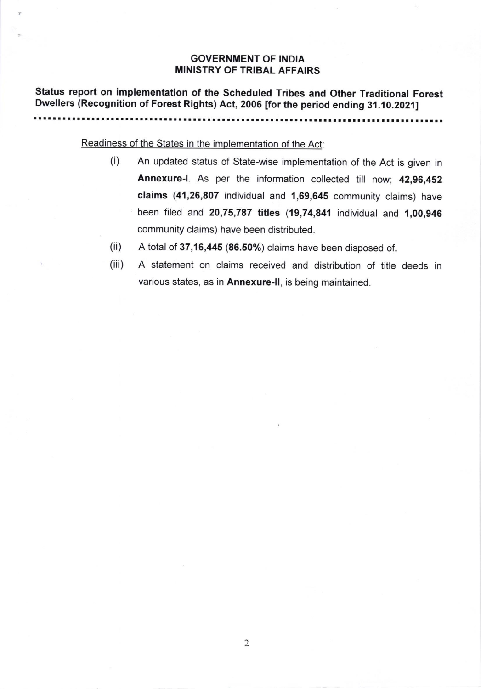## GOVERNMENT OF INDIA MINISTRY OF TRIBAL AFFAIRS

Status report on implementation of the Scheduled Tribes and Other Traditional Forest ::.T : i :: :: : t:: :: :l :: :::: :l :::t.T:: : ::: :::':: ::: :: :::l:.1 u: I:i T ] .

Readiness of the States in the implementation of the Act:

- (i) An updated status of State-wise implementation of the Act is given in Annexure-|. As per the information collected till now; 42,96,452 claims (41,26,807 individual and 1,69,645 community claims) have been filed and 20,75,787 titles (19,74,841 individuat and 1,00,946 community claims) have been distributed.
- A total of 37,16,445 (86.50%) claims have been disposed of. (ii)
- A statement on claims received and distribution of title deeds in various states, as in Annexure-ll, is being maintained. (iii)